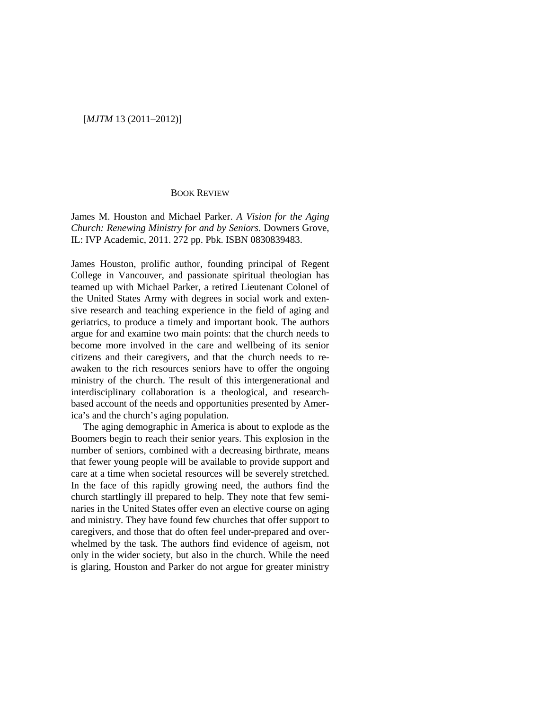## [*MJTM* 13 (2011–2012)]

## BOOK REVIEW

James M. Houston and Michael Parker. *A Vision for the Aging Church: Renewing Ministry for and by Seniors*. Downers Grove, IL: IVP Academic, 2011. 272 pp. Pbk. ISBN 0830839483.

James Houston, prolific author, founding principal of Regent College in Vancouver, and passionate spiritual theologian has teamed up with Michael Parker, a retired Lieutenant Colonel of the United States Army with degrees in social work and extensive research and teaching experience in the field of aging and geriatrics, to produce a timely and important book. The authors argue for and examine two main points: that the church needs to become more involved in the care and wellbeing of its senior citizens and their caregivers, and that the church needs to reawaken to the rich resources seniors have to offer the ongoing ministry of the church. The result of this intergenerational and interdisciplinary collaboration is a theological, and researchbased account of the needs and opportunities presented by America's and the church's aging population.

The aging demographic in America is about to explode as the Boomers begin to reach their senior years. This explosion in the number of seniors, combined with a decreasing birthrate, means that fewer young people will be available to provide support and care at a time when societal resources will be severely stretched. In the face of this rapidly growing need, the authors find the church startlingly ill prepared to help. They note that few seminaries in the United States offer even an elective course on aging and ministry. They have found few churches that offer support to caregivers, and those that do often feel under-prepared and overwhelmed by the task. The authors find evidence of ageism, not only in the wider society, but also in the church. While the need is glaring, Houston and Parker do not argue for greater ministry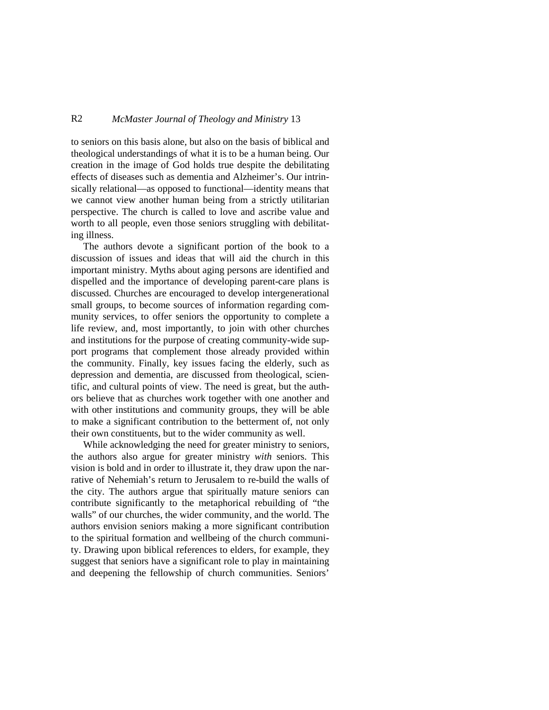## R2 *McMaster Journal of Theology and Ministry* 13

to seniors on this basis alone, but also on the basis of biblical and theological understandings of what it is to be a human being. Our creation in the image of God holds true despite the debilitating effects of diseases such as dementia and Alzheimer's. Our intrinsically relational—as opposed to functional—identity means that we cannot view another human being from a strictly utilitarian perspective. The church is called to love and ascribe value and worth to all people, even those seniors struggling with debilitating illness.

The authors devote a significant portion of the book to a discussion of issues and ideas that will aid the church in this important ministry. Myths about aging persons are identified and dispelled and the importance of developing parent-care plans is discussed. Churches are encouraged to develop intergenerational small groups, to become sources of information regarding community services, to offer seniors the opportunity to complete a life review, and, most importantly, to join with other churches and institutions for the purpose of creating community-wide support programs that complement those already provided within the community. Finally, key issues facing the elderly, such as depression and dementia, are discussed from theological, scientific, and cultural points of view. The need is great, but the authors believe that as churches work together with one another and with other institutions and community groups, they will be able to make a significant contribution to the betterment of, not only their own constituents, but to the wider community as well.

While acknowledging the need for greater ministry to seniors, the authors also argue for greater ministry *with* seniors. This vision is bold and in order to illustrate it, they draw upon the narrative of Nehemiah's return to Jerusalem to re-build the walls of the city. The authors argue that spiritually mature seniors can contribute significantly to the metaphorical rebuilding of "the walls" of our churches, the wider community, and the world. The authors envision seniors making a more significant contribution to the spiritual formation and wellbeing of the church community. Drawing upon biblical references to elders, for example, they suggest that seniors have a significant role to play in maintaining and deepening the fellowship of church communities. Seniors'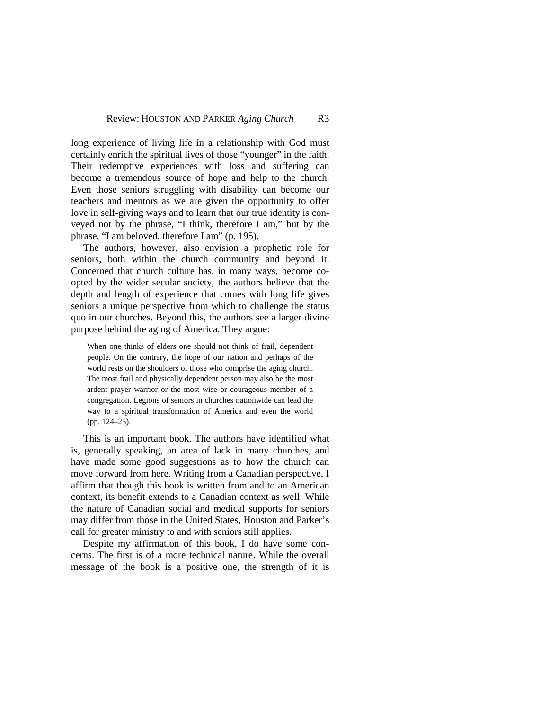long experience of living life in a relationship with God must certainly enrich the spiritual lives of those "younger" in the faith. Their redemptive experiences with loss and suffering can become a tremendous source of hope and help to the church. Even those seniors struggling with disability can become our teachers and mentors as we are given the opportunity to offer love in self-giving ways and to learn that our true identity is conveyed not by the phrase, "I think, therefore I am," but by the phrase, "I am beloved, therefore I am" (p. 195).

The authors, however, also envision a prophetic role for seniors, both within the church community and beyond it. Concerned that church culture has, in many ways, become coopted by the wider secular society, the authors believe that the depth and length of experience that comes with long life gives seniors a unique perspective from which to challenge the status quo in our churches. Beyond this, the authors see a larger divine purpose behind the aging of America. They argue:

When one thinks of elders one should not think of frail, dependent people. On the contrary, the hope of our nation and perhaps of the world rests on the shoulders of those who comprise the aging church. The most frail and physically dependent person may also be the most ardent prayer warrior or the most wise or courageous member of a congregation. Legions of seniors in churches nationwide can lead the way to a spiritual transformation of America and even the world (pp. 124–25).

This is an important book. The authors have identified what is, generally speaking, an area of lack in many churches, and have made some good suggestions as to how the church can move forward from here. Writing from a Canadian perspective, I affirm that though this book is written from and to an American context, its benefit extends to a Canadian context as well. While the nature of Canadian social and medical supports for seniors may differ from those in the United States, Houston and Parker's call for greater ministry to and with seniors still applies.

Despite my affirmation of this book, I do have some concerns. The first is of a more technical nature. While the overall message of the book is a positive one, the strength of it is